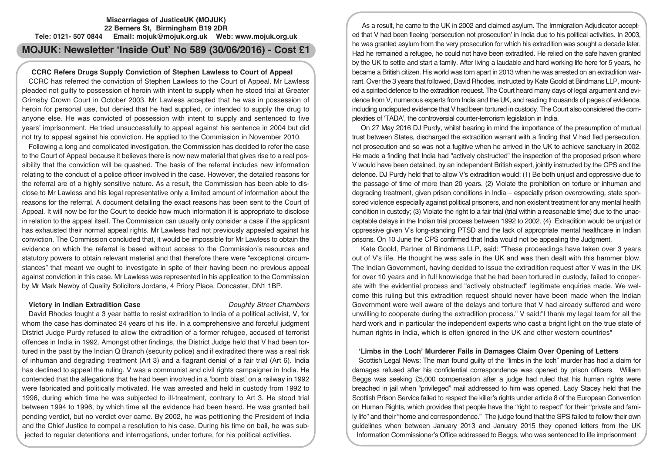### **Miscarriages of JusticeUK (MOJUK) 22 Berners St, Birmingham B19 2DR Tele: 0121- 507 0844 Email: mojuk@mojuk.org.uk Web: www.mojuk.org.uk**

# **MOJUK: Newsletter 'Inside Out' No 589 (30/06/2016) - Cost £1**

## **CCRC Refers Drugs Supply Conviction of Stephen Lawless to Court of Appeal**

CCRC has referred the conviction of Stephen Lawless to the Court of Appeal. Mr Lawless pleaded not guilty to possession of heroin with intent to supply when he stood trial at Greater Grimsby Crown Court in October 2003. Mr Lawless accepted that he was in possession of heroin for personal use, but denied that he had supplied, or intended to supply the drug to anyone else. He was convicted of possession with intent to supply and sentenced to five years' imprisonment. He tried unsuccessfully to appeal against his sentence in 2004 but did not try to appeal against his conviction. He applied to the Commission in November 2010.

Following a long and complicated investigation, the Commission has decided to refer the case to the Court of Appeal because it believes there is now new material that gives rise to a real possibility that the conviction will be quashed. The basis of the referral includes new information relating to the conduct of a police officer involved in the case. However, the detailed reasons for the referral are of a highly sensitive nature. As a result, the Commission has been able to disclose to Mr Lawless and his legal representative only a limited amount of information about the reasons for the referral. A document detailing the exact reasons has been sent to the Court of Appeal. It will now be for the Court to decide how much information it is appropriate to disclose in relation to the appeal itself. The Commission can usually only consider a case if the applicant has exhausted their normal appeal rights. Mr Lawless had not previously appealed against his conviction. The Commission concluded that, it would be impossible for Mr Lawless to obtain the evidence on which the referral is based without access to the Commission's resources and statutory powers to obtain relevant material and that therefore there were "exceptional circumstances" that meant we ought to investigate in spite of their having been no previous appeal against conviction in this case. Mr Lawless was represented in his application to the Commission by Mr Mark Newby of Quality Solicitors Jordans, 4 Priory Place, Doncaster, DN1 1BP.

#### **Victory in Indian Extradition Case** *Doughty Street Chambers*

David Rhodes fought a 3 year battle to resist extradition to India of a political activist, V, for whom the case has dominated 24 years of his life. In a comprehensive and forceful judgment District Judge Purdy refused to allow the extradition of a former refugee, accused of terrorist offences in India in 1992. Amongst other findings, the District Judge held that V had been tortured in the past by the Indian Q Branch (security police) and if extradited there was a real risk of inhuman and degrading treatment (Art 3) and a flagrant denial of a fair trial (Art 6). India has declined to appeal the ruling. V was a communist and civil rights campaigner in India. He contended that the allegations that he had been involved in a 'bomb blast' on a railway in 1992 were fabricated and politically motivated. He was arrested and held in custody from 1992 to 1996, during which time he was subjected to ill-treatment, contrary to Art 3. He stood trial between 1994 to 1996, by which time all the evidence had been heard. He was granted bail pending verdict, but no verdict ever came. By 2002, he was petitioning the President of India and the Chief Justice to compel a resolution to his case. During his time on bail, he was subjected to regular detentions and interrogations, under torture, for his political activities.

As a result, he came to the UK in 2002 and claimed asylum. The Immigration Adjudicator accepted that V had been fleeing 'persecution not prosecution' in India due to his political activities. In 2003, he was granted asylum from the very prosecution for which his extradition was sought a decade later. Had he remained a refugee, he could not have been extradited. He relied on the safe haven granted by the UK to settle and start a family. After living a laudable and hard working life here for 5 years, he became a British citizen. His world was torn apart in 2013 when he was arrested on an extradition warrant. Over the 3 years that followed, David Rhodes, instructed by Kate Goold at Bindmans LLP, mounted a spirited defence to the extradition request. The Court heard many days of legal argument and evidence from V, numerous experts from India and the UK, and reading thousands of pages of evidence, including undisputed evidence that V had been tortured in custody. The Court also considered the complexities of 'TADA', the controversial counter-terrorism legislation in India.

On 27 May 2016 DJ Purdy, whilst bearing in mind the importance of the presumption of mutual trust between States, discharged the extradition warrant with a finding that V had fled persecution, not prosecution and so was not a fugitive when he arrived in the UK to achieve sanctuary in 2002. He made a finding that India had "actively obstructed" the inspection of the proposed prison where V would have been detained, by an independent British expert, jointly instructed by the CPS and the defence. DJ Purdy held that to allow V's extradition would: (1) Be both unjust and oppressive due to the passage of time of more than 20 years. (2) Violate the prohibition on torture or inhuman and degrading treatment, given prison conditions in India – especially prison overcrowding, state sponsored violence especially against political prisoners, and non existent treatment for any mental health condition in custody; (3) Violate the right to a fair trial (trial within a reasonable time) due to the unacceptable delays in the Indian trial process between 1992 to 2002. (4) Extradition would be unjust or oppressive given V's long-standing PTSD and the lack of appropriate mental healthcare in Indian prisons. On 10 June the CPS confirmed that India would not be appealing the Judgment.

Kate Goold, Partner of Bindmans LLP, said: "These proceedings have taken over 3 years out of V's life. He thought he was safe in the UK and was then dealt with this hammer blow. The Indian Government, having decided to issue the extradition request after V was in the UK for over 10 years and in full knowledge that he had been tortured in custody, failed to cooperate with the evidential process and "actively obstructed" legitimate enquiries made. We welcome this ruling but this extradition request should never have been made when the Indian Government were well aware of the delays and torture that V had already suffered and were unwilling to cooperate during the extradition process." V said:"I thank my legal team for all the hard work and in particular the independent experts who cast a bright light on the true state of human rights in India, which is often ignored in the UK and other western countries"

# **'Limbs in the Loch' Murderer Fails in Damages Claim Over Opening of Letters**

Scottish Legal News: The man found guilty of the "limbs in the loch" murder has had a claim for damages refused after his confidential correspondence was opened by prison officers. William Beggs was seeking £5,000 compensation after a judge had ruled that his human rights were breached in jail when "privileged" mail addressed to him was opened. Lady Stacey held that the Scottish Prison Service failed to respect the killer's rights under article 8 of the European Convention on Human Rights, which provides that people have the "right to respect" for their "private and family life" and their "home and correspondence." The judge found that the SPS failed to follow their own guidelines when between January 2013 and January 2015 they opened letters from the UK Information Commissioner's Office addressed to Beggs, who was sentenced to life imprisonment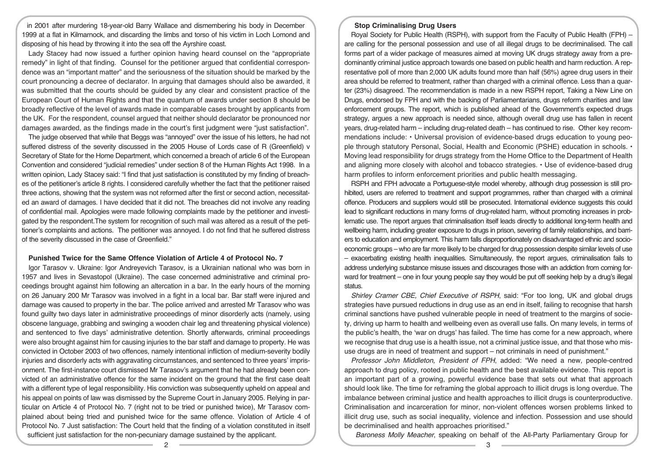in 2001 after murdering 18-year-old Barry Wallace and dismembering his body in December 1999 at a flat in Kilmarnock, and discarding the limbs and torso of his victim in Loch Lomond and disposing of his head by throwing it into the sea off the Ayrshire coast.

Lady Stacey had now issued a further opinion having heard counsel on the "appropriate remedy" in light of that finding. Counsel for the petitioner argued that confidential correspondence was an "important matter" and the seriousness of the situation should be marked by the court pronouncing a decree of declarator. In arguing that damages should also be awarded, it was submitted that the courts should be guided by any clear and consistent practice of the European Court of Human Rights and that the quantum of awards under section 8 should be broadly reflective of the level of awards made in comparable cases brought by applicants from the UK. For the respondent, counsel argued that neither should declarator be pronounced nor damages awarded, as the findings made in the court's first judgment were "just satisfaction".

The judge observed that while that Beggs was "annoyed" over the issue of his letters, he had not suffered distress of the severity discussed in the 2005 House of Lords case of R (Greenfield) v Secretary of State for the Home Department, which concerned a breach of article 6 of the European Convention and considered "judicial remedies" under section 8 of the Human Rights Act 1998. In a written opinion, Lady Stacey said: "I find that just satisfaction is constituted by my finding of breaches of the petitioner's article 8 rights. I considered carefully whether the fact that the petitioner raised three actions, showing that the system was not reformed after the first or second action, necessitated an award of damages. I have decided that it did not. The breaches did not involve any reading of confidential mail. Apologies were made following complaints made by the petitioner and investigated by the respondent.The system for recognition of such mail was altered as a result of the petitioner's complaints and actions. The petitioner was annoyed. I do not find that he suffered distress of the severity discussed in the case of Greenfield."

## **Punished Twice for the Same Offence Violation of Article 4 of Protocol No. 7**

Igor Tarasov v. Ukraine: Igor Andreyevich Tarasov, is a Ukrainian national who was born in 1957 and lives in Sevastopol (Ukraine). The case concerned administrative and criminal proceedings brought against him following an altercation in a bar. In the early hours of the morning on 26 January 200 Mr Tarasov was involved in a fight in a local bar. Bar staff were injured and damage was caused to property in the bar. The police arrived and arrested Mr Tarasov who was found guilty two days later in administrative proceedings of minor disorderly acts (namely, using obscene language, grabbing and swinging a wooden chair leg and threatening physical violence) and sentenced to five days' administrative detention. Shortly afterwards, criminal proceedings were also brought against him for causing injuries to the bar staff and damage to property. He was convicted in October 2003 of two offences, namely intentional infliction of medium-severity bodily injuries and disorderly acts with aggravating circumstances, and sentenced to three years' imprisonment. The first-instance court dismissed Mr Tarasov's argument that he had already been convicted of an administrative offence for the same incident on the ground that the first case dealt with a different type of legal responsibility. His conviction was subsequently upheld on appeal and his appeal on points of law was dismissed by the Supreme Court in January 2005. Relying in particular on Article 4 of Protocol No. 7 (right not to be tried or punished twice), Mr Tarasov complained about being tried and punished twice for the same offence. Violation of Article 4 of Protocol No. 7 Just satisfaction: The Court held that the finding of a violation constituted in itself sufficient just satisfaction for the non-pecuniary damage sustained by the applicant.

# **Stop Criminalising Drug Users**

Royal Society for Public Health (RSPH), with support from the Faculty of Public Health (FPH) – are calling for the personal possession and use of all illegal drugs to be decriminalised. The call forms part of a wider package of measures aimed at moving UK drugs strategy away from a predominantly criminal justice approach towards one based on public health and harm reduction. A representative poll of more than 2,000 UK adults found more than half (56%) agree drug users in their area should be referred to treatment, rather than charged with a criminal offence. Less than a quarter (23%) disagreed. The recommendation is made in a new RSPH report, Taking a New Line on Drugs, endorsed by FPH and with the backing of Parliamentarians, drugs reform charities and law enforcement groups. The report, which is published ahead of the Government's expected drugs strategy, argues a new approach is needed since, although overall drug use has fallen in recent years, drug-related harm – including drug-related death – has continued to rise. Other key recommendations include: • Universal provision of evidence-based drugs education to young people through statutory Personal, Social, Health and Economic (PSHE) education in schools. • Moving lead responsibility for drugs strategy from the Home Office to the Department of Health and aligning more closely with alcohol and tobacco strategies. • Use of evidence-based drug harm profiles to inform enforcement priorities and public health messaging.

RSPH and FPH advocate a Portuguese-style model whereby, although drug possession is still prohibited, users are referred to treatment and support programmes, rather than charged with a criminal offence. Producers and suppliers would still be prosecuted. International evidence suggests this could lead to significant reductions in many forms of drug-related harm, without promoting increases in problematic use. The report argues that criminalisation itself leads directly to additional long-term health and wellbeing harm, including greater exposure to drugs in prison, severing of family relationships, and barriers to education and employment. This harm falls disproportionately on disadvantaged ethnic and socioeconomic groups – who are far more likely to be charged for drug possession despite similar levels of use – exacerbating existing health inequalities. Simultaneously, the report argues, criminalisation fails to address underlying substance misuse issues and discourages those with an addiction from coming forward for treatment – one in four young people say they would be put off seeking help by a drug's illegal status.

*Shirley Cramer CBE, Chief Executive of RSPH*, said: "For too long, UK and global drugs strategies have pursued reductions in drug use as an end in itself, failing to recognise that harsh criminal sanctions have pushed vulnerable people in need of treatment to the margins of society, driving up harm to health and wellbeing even as overall use falls. On many levels, in terms of the public's health, the 'war on drugs' has failed. The time has come for a new approach, where we recognise that drug use is a health issue, not a criminal justice issue, and that those who misuse drugs are in need of treatment and support – not criminals in need of punishment."

*Professor John Middleton, President of FPH*, added: "We need a new, people-centred approach to drug policy, rooted in public health and the best available evidence. This report is an important part of a growing, powerful evidence base that sets out what that approach should look like. The time for reframing the global approach to illicit drugs is long overdue. The imbalance between criminal justice and health approaches to illicit drugs is counterproductive. Criminalisation and incarceration for minor, non-violent offences worsen problems linked to illicit drug use, such as social inequality, violence and infection. Possession and use should be decriminalised and health approaches prioritised."

*Baroness Molly Meacher*, speaking on behalf of the All-Party Parliamentary Group for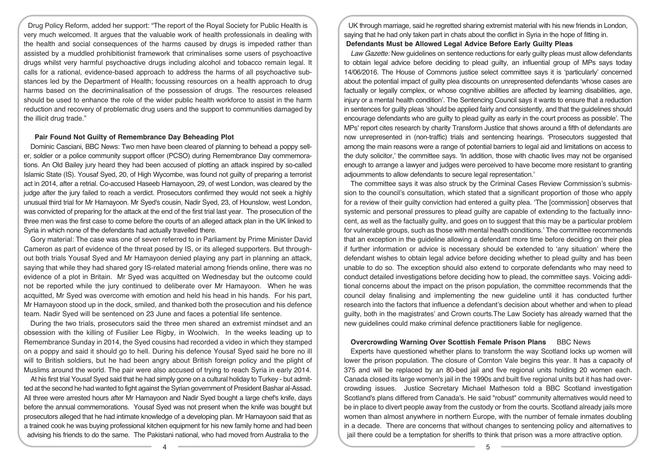Drug Policy Reform, added her support: "The report of the Royal Society for Public Health is very much welcomed. It argues that the valuable work of health professionals in dealing with the health and social consequences of the harms caused by drugs is impeded rather than assisted by a muddled prohibitionist framework that criminalises some users of psychoactive drugs whilst very harmful psychoactive drugs including alcohol and tobacco remain legal. It calls for a rational, evidence-based approach to address the harms of all psychoactive substances led by the Department of Health; focussing resources on a health approach to drug harms based on the decriminalisation of the possession of drugs. The resources released should be used to enhance the role of the wider public health workforce to assist in the harm reduction and recovery of problematic drug users and the support to communities damaged by the illicit drug trade."

#### **Pair Found Not Guilty of Remembrance Day Beheading Plot**

Dominic Casciani, BBC News: Two men have been cleared of planning to behead a poppy seller, soldier or a police community support officer (PCSO) during Remembrance Day commemorations. An Old Bailey jury heard they had been accused of plotting an attack inspired by so-called Islamic State (IS). Yousaf Syed, 20, of High Wycombe, was found not guilty of preparing a terrorist act in 2014, after a retrial. Co-accused Haseeb Hamayoon, 29, of west London, was cleared by the judge after the jury failed to reach a verdict. Prosecutors confirmed they would not seek a highly unusual third trial for Mr Hamayoon. Mr Syed's cousin, Nadir Syed, 23, of Hounslow, west London, was convicted of preparing for the attack at the end of the first trial last year. The prosecution of the three men was the first case to come before the courts of an alleged attack plan in the UK linked to Syria in which none of the defendants had actually travelled there.

Gory material: The case was one of seven referred to in Parliament by Prime Minister David Cameron as part of evidence of the threat posed by IS, or its alleged supporters. But throughout both trials Yousaf Syed and Mr Hamayoon denied playing any part in planning an attack, saying that while they had shared gory IS-related material among friends online, there was no evidence of a plot in Britain. Mr Syed was acquitted on Wednesday but the outcome could not be reported while the jury continued to deliberate over Mr Hamayoon. When he was acquitted, Mr Syed was overcome with emotion and held his head in his hands. For his part, Mr Hamayoon stood up in the dock, smiled, and thanked both the prosecution and his defence team. Nadir Syed will be sentenced on 23 June and faces a potential life sentence.

During the two trials, prosecutors said the three men shared an extremist mindset and an obsession with the killing of Fusilier Lee Rigby, in Woolwich. In the weeks leading up to Remembrance Sunday in 2014, the Syed cousins had recorded a video in which they stamped on a poppy and said it should go to hell. During his defence Yousaf Syed said he bore no ill will to British soldiers, but he had been angry about British foreign policy and the plight of Muslims around the world. The pair were also accused of trying to reach Syria in early 2014.

At his first trial Yousaf Syed said that he had simply gone on a cultural holiday to Turkey - but admitted at the second he had wanted to fight against the Syrian government of President Bashar al-Assad. All three were arrested hours after Mr Hamayoon and Nadir Syed bought a large chef's knife, days before the annual commemorations. Yousaf Syed was not present when the knife was bought but prosecutors alleged that he had intimate knowledge of a developing plan. Mr Hamayoon said that as a trained cook he was buying professional kitchen equipment for his new family home and had been advising his friends to do the same. The Pakistani national, who had moved from Australia to the

UK through marriage, said he regretted sharing extremist material with his new friends in London, saying that he had only taken part in chats about the conflict in Syria in the hope of fitting in. **Defendants Must be Allowed Legal Advice Before Early Guilty Pleas**

*Law Gazette:* New guidelines on sentence reductions for early guilty pleas must allow defendants to obtain legal advice before deciding to plead guilty, an influential group of MPs says today 14/06/2016. The House of Commons justice select committee says it is 'particularly' concerned about the potential impact of guilty plea discounts on unrepresented defendants 'whose cases are factually or legally complex, or whose cognitive abilities are affected by learning disabilities, age, injury or a mental health condition'. The Sentencing Council says it wants to ensure that a reduction in sentences for guilty pleas 'should be applied fairly and consistently, and that the guidelines should encourage defendants who are guilty to plead guilty as early in the court process as possible'. The MPs' report cites research by charity Transform Justice that shows around a fifth of defendants are now unrepresented in (non-traffic) trials and sentencing hearings. 'Prosecutors suggested that among the main reasons were a range of potential barriers to legal aid and limitations on access to the duty solicitor,' the committee says. 'In addition, those with chaotic lives may not be organised enough to arrange a lawyer and judges were perceived to have become more resistant to granting adjournments to allow defendants to secure legal representation.'

The committee says it was also struck by the Criminal Cases Review Commission's submission to the council's consultation, which stated that a significant proportion of those who apply for a review of their guilty conviction had entered a guilty plea. 'The [commission] observes that systemic and personal pressures to plead guilty are capable of extending to the factually innocent, as well as the factually guilty, and goes on to suggest that this may be a particular problem for vulnerable groups, such as those with mental health conditions.' The committee recommends that an exception in the guideline allowing a defendant more time before deciding on their plea if further information or advice is necessary should be extended to 'any situation' where the defendant wishes to obtain legal advice before deciding whether to plead guilty and has been unable to do so. The exception should also extend to corporate defendants who may need to conduct detailed investigations before deciding how to plead, the committee says. Voicing additional concerns about the impact on the prison population, the committee recommends that the council delay finalising and implementing the new guideline until it has conducted further research into the factors that influence a defendant's decision about whether and when to plead guilty, both in the magistrates' and Crown courts.The Law Society has already warned that the new guidelines could make criminal defence practitioners liable for negligence.

### **Overcrowding Warning Over Scottish Female Prison Plans** BBC News

Experts have questioned whether plans to transform the way Scotland locks up women will lower the prison population. The closure of Cornton Vale begins this year. It has a capacity of 375 and will be replaced by an 80-bed jail and five regional units holding 20 women each. Canada closed its large women's jail in the 1990s and built five regional units but it has had overcrowding issues. Justice Secretary Michael Matheson told a BBC Scotland investigation Scotland's plans differed from Canada's. He said "robust" community alternatives would need to be in place to divert people away from the custody or from the courts. Scotland already jails more women than almost anywhere in northern Europe, with the number of female inmates doubling in a decade. There are concerns that without changes to sentencing policy and alternatives to jail there could be a temptation for sheriffs to think that prison was a more attractive option.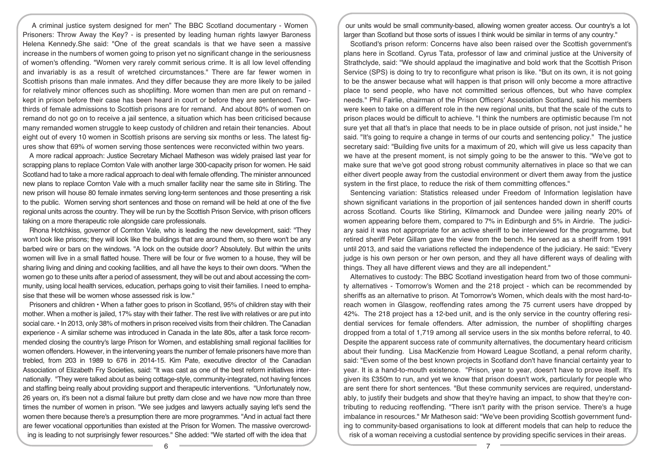A criminal justice system designed for men" The BBC Scotland documentary - Women Prisoners: Throw Away the Key? - is presented by leading human rights lawyer Baroness Helena Kennedy.She said: "One of the great scandals is that we have seen a massive increase in the numbers of women going to prison yet no significant change in the seriousness of women's offending. "Women very rarely commit serious crime. It is all low level offending and invariably is as a result of wretched circumstances." There are far fewer women in Scottish prisons than male inmates. And they differ because they are more likely to be jailed for relatively minor offences such as shoplifting. More women than men are put on remand kept in prison before their case has been heard in court or before they are sentenced. Twothirds of female admissions to Scottish prisons are for remand. And about 80% of women on remand do not go on to receive a jail sentence, a situation which has been criticised because many remanded women struggle to keep custody of children and retain their tenancies. About eight out of every 10 women in Scottish prisons are serving six months or less. The latest figures show that 69% of women serving those sentences were reconvicted within two years.

A more radical approach: Justice Secretary Michael Matheson was widely praised last year for scrapping plans to replace Cornton Vale with another large 300-capacity prison for women. He said Scotland had to take a more radical approach to deal with female offending. The minister announced new plans to replace Cornton Vale with a much smaller facility near the same site in Stirling. The new prison will house 80 female inmates serving long-term sentences and those presenting a risk to the public. Women serving short sentences and those on remand will be held at one of the five regional units across the country. They will be run by the Scottish Prison Service, with prison officers taking on a more therapeutic role alongside care professionals.

Rhona Hotchkiss, governor of Cornton Vale, who is leading the new development, said: "They won't look like prisons; they will look like the buildings that are around them, so there won't be any barbed wire or bars on the windows. "A lock on the outside door? Absolutely. But within the units women will live in a small flatted house. There will be four or five women to a house, they will be sharing living and dining and cooking facilities, and all have the keys to their own doors. "When the women go to these units after a period of assessment, they will be out and about accessing the community, using local health services, education, perhaps going to visit their families. I need to emphasise that these will be women whose assessed risk is low."

Prisoners and children • When a father goes to prison in Scotland, 95% of children stay with their mother. When a mother is jailed, 17% stay with their father. The rest live with relatives or are put into social care. • In 2013, only 38% of mothers in prison received visits from their children. The Canadian experience - A similar scheme was introduced in Canada in the late 80s, after a task force recommended closing the country's large Prison for Women, and establishing small regional facilities for women offenders. However, in the intervening years the number of female prisoners have more than trebled, from 203 in 1989 to 676 in 2014-15. Kim Pate, executive director of the Canadian Association of Elizabeth Fry Societies, said: "It was cast as one of the best reform initiatives internationally. "They were talked about as being cottage-style, community-integrated, not having fences and staffing being really about providing support and therapeutic interventions. "Unfortunately now, 26 years on, it's been not a dismal failure but pretty darn close and we have now more than three times the number of women in prison. "We see judges and lawyers actually saying let's send the women there because there's a presumption there are more programmes. "And in actual fact there are fewer vocational opportunities than existed at the Prison for Women. The massive overcrowding is leading to not surprisingly fewer resources." She added: "We started off with the idea that

our units would be small community-based, allowing women greater access. Our country's a lot larger than Scotland but those sorts of issues I think would be similar in terms of any country."

Scotland's prison reform: Concerns have also been raised over the Scottish government's plans here in Scotland. Cyrus Tata, professor of law and criminal justice at the University of Strathclyde, said: "We should applaud the imaginative and bold work that the Scottish Prison Service (SPS) is doing to try to reconfigure what prison is like. "But on its own, it is not going to be the answer because what will happen is that prison will only become a more attractive place to send people, who have not committed serious offences, but who have complex needs." Phil Fairlie, chairman of the Prison Officers' Association Scotland, said his members were keen to take on a different role in the new regional units, but that the scale of the cuts to prison places would be difficult to achieve. "I think the numbers are optimistic because I'm not sure yet that all that's in place that needs to be in place outside of prison, not just inside," he said. "It's going to require a change in terms of our courts and sentencing policy." The justice secretary said: "Building five units for a maximum of 20, which will give us less capacity than we have at the present moment, is not simply going to be the answer to this. "We've got to make sure that we've got good strong robust community alternatives in place so that we can either divert people away from the custodial environment or divert them away from the justice system in the first place, to reduce the risk of them committing offences."

Sentencing variation: Statistics released under Freedom of Information legislation have shown significant variations in the proportion of jail sentences handed down in sheriff courts across Scotland. Courts like Stirling, Kilmarnock and Dundee were jailing nearly 20% of women appearing before them, compared to 7% in Edinburgh and 5% in Airdrie. The judiciary said it was not appropriate for an active sheriff to be interviewed for the programme, but retired sheriff Peter Gillam gave the view from the bench. He served as a sheriff from 1991 until 2013, and said the variations reflected the independence of the judiciary. He said: "Every judge is his own person or her own person, and they all have different ways of dealing with things. They all have different views and they are all independent."

Alternatives to custody: The BBC Scotland investigation heard from two of those community alternatives - Tomorrow's Women and the 218 project - which can be recommended by sheriffs as an alternative to prison. At Tomorrow's Women, which deals with the most hard-toreach women in Glasgow, reoffending rates among the 75 current users have dropped by 42%. The 218 project has a 12-bed unit, and is the only service in the country offering residential services for female offenders. After admission, the number of shoplifting charges dropped from a total of 1,719 among all service users in the six months before referral, to 40. Despite the apparent success rate of community alternatives, the documentary heard criticism about their funding. Lisa MacKenzie from Howard League Scotland, a penal reform charity, said: "Even some of the best known projects in Scotland don't have financial certainty year to year. It is a hand-to-mouth existence. "Prison, year to year, doesn't have to prove itself. It's given its £350m to run, and yet we know that prison doesn't work, particularly for people who are sent there for short sentences. "But these community services are required, understandably, to justify their budgets and show that they're having an impact, to show that they're contributing to reducing reoffending. "There isn't parity with the prison service. There's a huge imbalance in resources." Mr Matheson said: "We've been providing Scottish government funding to community-based organisations to look at different models that can help to reduce the risk of a woman receiving a custodial sentence by providing specific services in their areas.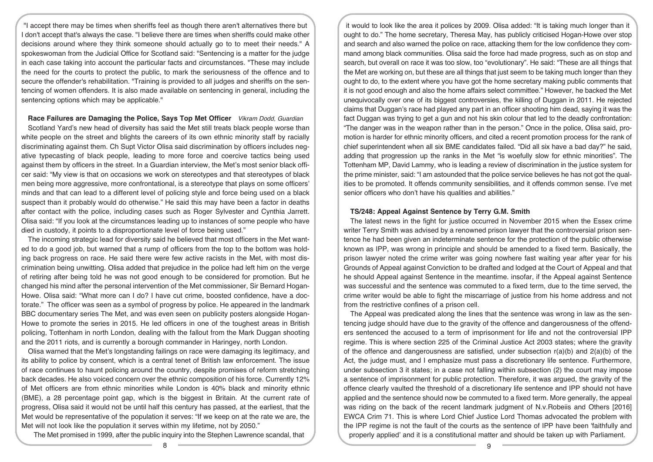"I accept there may be times when sheriffs feel as though there aren't alternatives there but I don't accept that's always the case. "I believe there are times when sheriffs could make other decisions around where they think someone should actually go to to meet their needs." A spokeswoman from the Judicial Office for Scotland said: "Sentencing is a matter for the judge in each case taking into account the particular facts and circumstances. "These may include the need for the courts to protect the public, to mark the seriousness of the offence and to secure the offender's rehabilitation. "Training is provided to all judges and sheriffs on the sentencing of women offenders. It is also made available on sentencing in general, including the sentencing options which may be applicable."

#### **Race Failures are Damaging the Police, Says Top Met Officer** *Vikram Dodd, Guardian*

Scotland Yard's new head of diversity has said the Met still treats black people worse than white people on the street and blights the careers of its own ethnic minority staff by racially discriminating against them. Ch Supt Victor Olisa said discrimination by officers includes negative typecasting of black people, leading to more force and coercive tactics being used against them by officers in the street. In a Guardian interview, the Met's most senior black officer said: "My view is that on occasions we work on stereotypes and that stereotypes of black men being more aggressive, more confrontational, is a stereotype that plays on some officers' minds and that can lead to a different level of policing style and force being used on a black suspect than it probably would do otherwise." He said this may have been a factor in deaths after contact with the police, including cases such as Roger Sylvester and Cynthia Jarrett. Olisa said: "If you look at the circumstances leading up to instances of some people who have died in custody, it points to a disproportionate level of force being used."

The incoming strategic lead for diversity said he believed that most officers in the Met wanted to do a good job, but warned that a rump of officers from the top to the bottom was holding back progress on race. He said there were few active racists in the Met, with most discrimination being unwitting. Olisa added that prejudice in the police had left him on the verge of retiring after being told he was not good enough to be considered for promotion. But he changed his mind after the personal intervention of the Met commissioner, Sir Bernard Hogan-Howe. Olisa said: "What more can I do? I have cut crime, boosted confidence, have a doctorate." The officer was seen as a symbol of progress by police. He appeared in the landmark BBC documentary series The Met, and was even seen on publicity posters alongside Hogan-Howe to promote the series in 2015. He led officers in one of the toughest areas in British policing, Tottenham in north London, dealing with the fallout from the Mark Duggan shooting and the 2011 riots, and is currently a borough commander in Haringey, north London.

Olisa warned that the Met's longstanding failings on race were damaging its legitimacy, and its ability to police by consent, which is a central tenet of British law enforcement. The issue of race continues to haunt policing around the country, despite promises of reform stretching back decades. He also voiced concern over the ethnic composition of his force. Currently 12% of Met officers are from ethnic minorities while London is 40% black and minority ethnic (BME), a 28 percentage point gap, which is the biggest in Britain. At the current rate of progress, Olisa said it would not be until half this century has passed, at the earliest, that the Met would be representative of the population it serves: "If we keep on at the rate we are, the Met will not look like the population it serves within my lifetime, not by 2050."

The Met promised in 1999, after the public inquiry into the Stephen Lawrence scandal, that

it would to look like the area it polices by 2009. Olisa added: "It is taking much longer than it ought to do." The home secretary, Theresa May, has publicly criticised Hogan-Howe over stop and search and also warned the police on race, attacking them for the low confidence they command among black communities. Olisa said the force had made progress, such as on stop and search, but overall on race it was too slow, too "evolutionary". He said: "These are all things that the Met are working on, but these are all things that just seem to be taking much longer than they ought to do, to the extent where you have got the home secretary making public comments that it is not good enough and also the home affairs select committee." However, he backed the Met unequivocally over one of its biggest controversies, the killing of Duggan in 2011. He rejected claims that Duggan's race had played any part in an officer shooting him dead, saying it was the fact Duggan was trying to get a gun and not his skin colour that led to the deadly confrontation: "The danger was in the weapon rather than in the person." Once in the police, Olisa said, promotion is harder for ethnic minority officers, and cited a recent promotion process for the rank of chief superintendent when all six BME candidates failed. "Did all six have a bad day?" he said, adding that progression up the ranks in the Met "is woefully slow for ethnic minorities". The Tottenham MP, David Lammy, who is leading a review of discrimination in the justice system for the prime minister, said: "I am astounded that the police service believes he has not got the qualities to be promoted. It offends community sensibilities, and it offends common sense. I've met senior officers who don't have his qualities and abilities."

### **TS/248: Appeal Against Sentence by Terry G.M. Smith**

The latest news in the fight for justice occurred in November 2015 when the Essex crime writer Terry Smith was advised by a renowned prison lawyer that the controversial prison sentence he had been given an indeterminate sentence for the protection of the public otherwise known as IPP, was wrong in principle and should be amended to a fixed term. Basically, the prison lawyer noted the crime writer was going nowhere fast waiting year after year for his Grounds of Appeal against Conviction to be drafted and lodged at the Court of Appeal and that he should Appeal against Sentence in the meantime. insofar, if the Appeal against Sentence was successful and the sentence was commuted to a fixed term, due to the time served, the crime writer would be able to fight the miscarriage of justice from his home address and not from the restrictive confines of a prison cell.

The Appeal was predicated along the lines that the sentence was wrong in law as the sentencing judge should have due to the gravity of the offence and dangerousness of the offenders sentenced the accused to a term of imprisonment for life and not the controversial IPP regime. This is where section 225 of the Criminal Justice Act 2003 states; where the gravity of the offence and dangerousness are satisfied, under subsection  $r(a)(b)$  and  $2(a)(b)$  of the Act, the judge must, and I emphasize must pass a discretionary life sentence. Furthermore, under subsection 3 it states; in a case not falling within subsection (2) the court may impose a sentence of imprisonment for public protection. Therefore, it was argued, the gravity of the offence clearly vaulted the threshold of a discretionary life sentence and IPP should not have applied and the sentence should now be commuted to a fixed term. More generally, the appeal was riding on the back of the recent landmark judgment of N.v.Robeiis and Others [2016] EWCA Crim 71. This is where Lord Chief Justice Lord Thomas advocated the problem with the IPP regime is not the fault of the courts as the sentence of IPP have been 'faithfully and properly applied' and it is a constitutional matter and should be taken up with Parliament.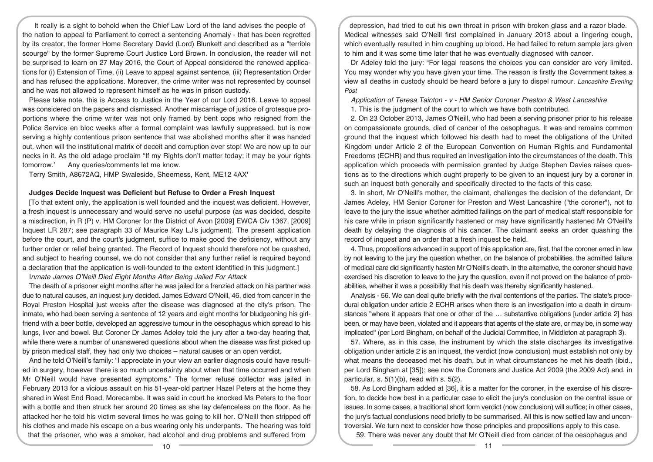It really is a sight to behold when the Chief Law Lord of the land advises the people of the nation to appeal to Parliament to correct a sentencing Anomaly - that has been regretted by its creator, the former Home Secretary David (Lord) Blunkett and described as a "terrible scourge" by the former Supreme Court Justice Lord Brown. In conclusion, the reader will not be surprised to learn on 27 May 2016, the Court of Appeal considered the renewed applications for (i) Extension of Time, (ii) Leave to appeal against sentence, (iii) Representation Order and has refused the applications. Moreover, the crime writer was not represented by counsel and he was not allowed to represent himself as he was in prison custody.

Please take note, this is Access to Justice in the Year of our Lord 2016. Leave to appeal was considered on the papers and dismissed. Another miscarriage of justice of grotesque proportions where the crime writer was not only framed by bent cops who resigned from the Police Service en bloc weeks after a formal complaint was lawfully suppressed, but is now serving a highly contentious prison sentence that was abolished months after it was handed out. when will the institutional matrix of deceit and corruption ever stop! We are now up to our necks in it. As the old adage proclaim "If my Rights don't matter today; it may be your rights tomorrow.' Any queries/comments let me know.

Terry Smith, A8672AQ, HMP Swaleside, Sheerness, Kent, ME12 4AX'

### **Judges Decide Inquest was Deficient but Refuse to Order a Fresh Inquest**

[To that extent only, the application is well founded and the inquest was deficient. However, a fresh inquest is unnecessary and would serve no useful purpose (as was decided, despite a misdirection, in R (P) v. HM Coroner for the District of Avon [2009] EWCA Civ 1367, [2009] Inquest LR 287; see paragraph 33 of Maurice Kay LJ's judgment). The present application before the court, and the court's judgment, suffice to make good the deficiency, without any further order or relief being granted. The Record of Inquest should therefore not be quashed, and subject to hearing counsel, we do not consider that any further relief is required beyond a declaration that the application is well-founded to the extent identified in this judgment.]

I*nmate James O'Neill Died Eight Months After Being Jailed For Attack*

The death of a prisoner eight months after he was jailed for a frenzied attack on his partner was due to natural causes, an inquest jury decided. James Edward O'Neill, 46, died from cancer in the Royal Preston Hospital just weeks after the disease was diagnosed at the city's prison. The inmate, who had been serving a sentence of 12 years and eight months for bludgeoning his girlfriend with a beer bottle, developed an aggressive tumour in the oesophagus which spread to his lungs, liver and bowel. But Coroner Dr James Adeley told the jury after a two-day hearing that, while there were a number of unanswered questions about when the disease was first picked up by prison medical staff, they had only two choices – natural causes or an open verdict.

And he told O'Neill's family: "I appreciate in your view an earlier diagnosis could have resulted in surgery, however there is so much uncertainty about when that time occurred and when Mr O'Neill would have presented symptoms." The former refuse collector was jailed in February 2013 for a vicious assault on his 51-year-old partner Hazel Peters at the home they shared in West End Road, Morecambe. It was said in court he knocked Ms Peters to the floor with a bottle and then struck her around 20 times as she lay defenceless on the floor. As he attacked her he told his victim several times he was going to kill her. O'Neill then stripped off his clothes and made his escape on a bus wearing only his underpants. The hearing was told that the prisoner, who was a smoker, had alcohol and drug problems and suffered from

depression, had tried to cut his own throat in prison with broken glass and a razor blade. Medical witnesses said O'Neill first complained in January 2013 about a lingering cough, which eventually resulted in him coughing up blood. He had failed to return sample jars given to him and it was some time later that he was eventually diagnosed with cancer.

Dr Adeley told the jury: "For legal reasons the choices you can consider are very limited. You may wonder why you have given your time. The reason is firstly the Government takes a view all deaths in custody should be heard before a jury to dispel rumour. *Lancashire Evening Post*

*Application of Teresa Tainton - v - HM Senior Coroner Preston & West Lancashire*

1. This is the judgment of the court to which we have both contributed.

2. On 23 October 2013, James O'Neill, who had been a serving prisoner prior to his release on compassionate grounds, died of cancer of the oesophagus. It was and remains common ground that the inquest which followed his death had to meet the obligations of the United Kingdom under Article 2 of the European Convention on Human Rights and Fundamental Freedoms (ECHR) and thus required an investigation into the circumstances of the death. This application which proceeds with permission granted by Judge Stephen Davies raises questions as to the directions which ought properly to be given to an inquest jury by a coroner in such an inquest both generally and specifically directed to the facts of this case.

3. In short, Mr O'Neill's mother, the claimant, challenges the decision of the defendant, Dr James Adeley, HM Senior Coroner for Preston and West Lancashire ("the coroner"), not to leave to the jury the issue whether admitted failings on the part of medical staff responsible for his care while in prison significantly hastened or may have significantly hastened Mr O'Neill's death by delaying the diagnosis of his cancer. The claimant seeks an order quashing the record of inquest and an order that a fresh inquest be held.

4. Thus, propositions advanced in support of this application are, first, that the coroner erred in law by not leaving to the jury the question whether, on the balance of probabilities, the admitted failure of medical care did significantly hasten Mr O'Neill's death. In the alternative, the coroner should have exercised his discretion to leave to the jury the question, even if not proved on the balance of probabilities, whether it was a possibility that his death was thereby significantly hastened.

Analysis - 56. We can deal quite briefly with the rival contentions of the parties. The state's procedural obligation under article 2 ECHR arises when there is an investigation into a death in circumstances "where it appears that one or other of the … substantive obligations [under article 2] has been, or may have been, violated and it appears that agents of the state are, or may be, in some way implicated" (per Lord Bingham, on behalf of the Judicial Committee, in Middleton at paragraph 3).

57. Where, as in this case, the instrument by which the state discharges its investigative obligation under article 2 is an inquest, the verdict (now conclusion) must establish not only by what means the deceased met his death, but in what circumstances he met his death (ibid., per Lord Bingham at [35]); see now the Coroners and Justice Act 2009 (the 2009 Act) and, in particular, s.  $5(1)(b)$ , read with s.  $5(2)$ .

58. As Lord Bingham added at [36], it is a matter for the coroner, in the exercise of his discretion, to decide how best in a particular case to elicit the jury's conclusion on the central issue or issues. In some cases, a traditional short form verdict (now conclusion) will suffice; in other cases, the jury's factual conclusions need briefly to be summarised. All this is now settled law and uncontroversial. We turn next to consider how those principles and propositions apply to this case.

59. There was never any doubt that Mr O'Neill died from cancer of the oesophagus and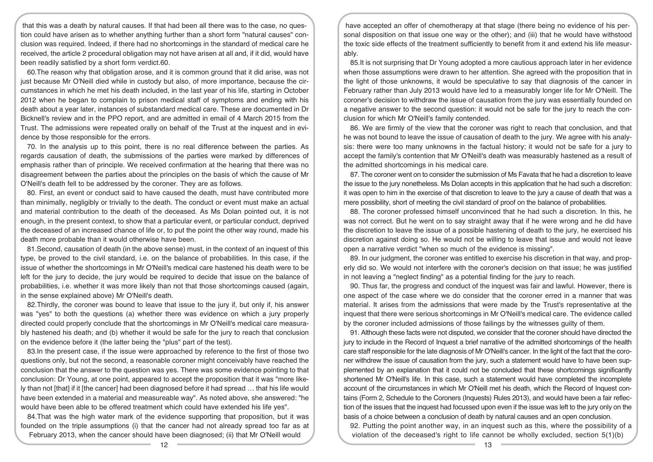that this was a death by natural causes. If that had been all there was to the case, no question could have arisen as to whether anything further than a short form "natural causes" conclusion was required. Indeed, if there had no shortcomings in the standard of medical care he received, the article 2 procedural obligation may not have arisen at all and, if it did, would have been readily satisfied by a short form verdict.60.

60.The reason why that obligation arose, and it is common ground that it did arise, was not just because Mr O'Neill died while in custody but also, of more importance, because the circumstances in which he met his death included, in the last year of his life, starting in October 2012 when he began to complain to prison medical staff of symptoms and ending with his death about a year later, instances of substandard medical care. These are documented in Dr Bicknell's review and in the PPO report, and are admitted in email of 4 March 2015 from the Trust. The admissions were repeated orally on behalf of the Trust at the inquest and in evidence by those responsible for the errors.

70. In the analysis up to this point, there is no real difference between the parties. As regards causation of death, the submissions of the parties were marked by differences of emphasis rather than of principle. We received confirmation at the hearing that there was no disagreement between the parties about the principles on the basis of which the cause of Mr O'Neill's death fell to be addressed by the coroner. They are as follows.

80. First, an event or conduct said to have caused the death, must have contributed more than minimally, negligibly or trivially to the death. The conduct or event must make an actual and material contribution to the death of the deceased. As Ms Dolan pointed out, it is not enough, in the present context, to show that a particular event, or particular conduct, deprived the deceased of an increased chance of life or, to put the point the other way round, made his death more probable than it would otherwise have been.

81.Second, causation of death (in the above sense) must, in the context of an inquest of this type, be proved to the civil standard, i.e. on the balance of probabilities. In this case, if the issue of whether the shortcomings in Mr O'Neill's medical care hastened his death were to be left for the jury to decide, the jury would be required to decide that issue on the balance of probabilities, i.e. whether it was more likely than not that those shortcomings caused (again, in the sense explained above) Mr O'Neill's death.

82.Thirdly, the coroner was bound to leave that issue to the jury if, but only if, his answer was "yes" to both the questions (a) whether there was evidence on which a jury properly directed could properly conclude that the shortcomings in Mr O'Neill's medical care measurably hastened his death; and (b) whether it would be safe for the jury to reach that conclusion on the evidence before it (the latter being the "plus" part of the test).

83.In the present case, if the issue were approached by reference to the first of those two questions only, but not the second, a reasonable coroner might conceivably have reached the conclusion that the answer to the question was yes. There was some evidence pointing to that conclusion: Dr Young, at one point, appeared to accept the proposition that it was "more likely than not [that] if it [the cancer] had been diagnosed before it had spread … that his life would have been extended in a material and measureable way". As noted above, she answered: "he would have been able to be offered treatment which could have extended his life yes".

84.That was the high water mark of the evidence supporting that proposition, but it was founded on the triple assumptions (i) that the cancer had not already spread too far as at February 2013, when the cancer should have been diagnosed; (ii) that Mr O'Neill would

have accepted an offer of chemotherapy at that stage (there being no evidence of his personal disposition on that issue one way or the other); and (iii) that he would have withstood the toxic side effects of the treatment sufficiently to benefit from it and extend his life measurably.

85.It is not surprising that Dr Young adopted a more cautious approach later in her evidence when those assumptions were drawn to her attention. She agreed with the proposition that in the light of those unknowns, it would be speculative to say that diagnosis of the cancer in February rather than July 2013 would have led to a measurably longer life for Mr O'Neill. The coroner's decision to withdraw the issue of causation from the jury was essentially founded on a negative answer to the second question: it would not be safe for the jury to reach the conclusion for which Mr O'Neill's family contended.

86. We are firmly of the view that the coroner was right to reach that conclusion, and that he was not bound to leave the issue of causation of death to the jury. We agree with his analysis: there were too many unknowns in the factual history; it would not be safe for a jury to accept the family's contention that Mr O'Neill's death was measurably hastened as a result of the admitted shortcomings in his medical care.

87. The coroner went on to consider the submission of Ms Favata that he had a discretion to leave the issue to the jury nonetheless. Ms Dolan accepts in this application that he had such a discretion: it was open to him in the exercise of that discretion to leave to the jury a cause of death that was a mere possibility, short of meeting the civil standard of proof on the balance of probabilities.

88. The coroner professed himself unconvinced that he had such a discretion. In this, he was not correct. But he went on to say straight away that if he were wrong and he did have the discretion to leave the issue of a possible hastening of death to the jury, he exercised his discretion against doing so. He would not be willing to leave that issue and would not leave open a narrative verdict "when so much of the evidence is missing".

89. In our judgment, the coroner was entitled to exercise his discretion in that way, and properly did so. We would not interfere with the coroner's decision on that issue; he was justified in not leaving a "neglect finding" as a potential finding for the jury to reach.

90. Thus far, the progress and conduct of the inquest was fair and lawful. However, there is one aspect of the case where we do consider that the coroner erred in a manner that was material. It arises from the admissions that were made by the Trust's representative at the inquest that there were serious shortcomings in Mr O'Neill's medical care. The evidence called by the coroner included admissions of those failings by the witnesses guilty of them.

91. Although these facts were not disputed, we consider that the coroner should have directed the jury to include in the Record of Inquest a brief narrative of the admitted shortcomings of the health care staff responsible for the late diagnosis of Mr O'Neill's cancer. In the light of the fact that the coroner withdrew the issue of causation from the jury, such a statement would have to have been supplemented by an explanation that it could not be concluded that these shortcomings significantly shortened Mr O'Neill's life. In this case, such a statement would have completed the incomplete account of the circumstances in which Mr O'Neill met his death, which the Record of Inquest contains (Form 2, Schedule to the Coroners (Inquests) Rules 2013), and would have been a fair reflection of the issues that the inquest had focussed upon even if the issue was left to the jury only on the basis of a choice between a conclusion of death by natural causes and an open conclusion.

92. Putting the point another way, in an inquest such as this, where the possibility of a violation of the deceased's right to life cannot be wholly excluded, section  $5(1)(b)$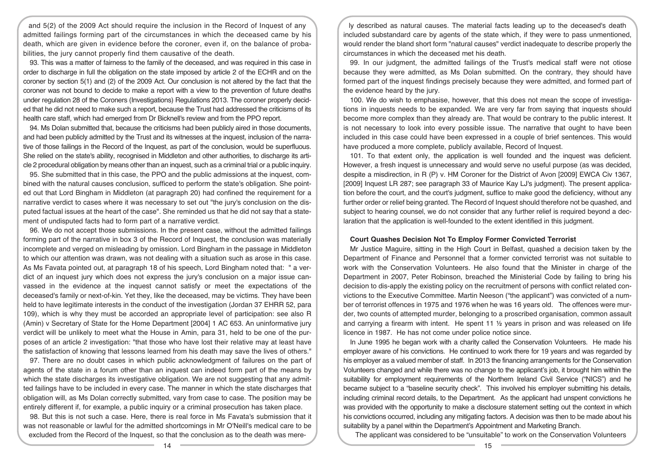and 5(2) of the 2009 Act should require the inclusion in the Record of Inquest of any admitted failings forming part of the circumstances in which the deceased came by his death, which are given in evidence before the coroner, even if, on the balance of probabilities, the jury cannot properly find them causative of the death.

93. This was a matter of fairness to the family of the deceased, and was required in this case in order to discharge in full the obligation on the state imposed by article 2 of the ECHR and on the coroner by section 5(1) and (2) of the 2009 Act. Our conclusion is not altered by the fact that the coroner was not bound to decide to make a report with a view to the prevention of future deaths under regulation 28 of the Coroners (Investigations) Regulations 2013. The coroner properly decided that he did not need to make such a report, because the Trust had addressed the criticisms of its health care staff, which had emerged from Dr Bicknell's review and from the PPO report.

94. Ms Dolan submitted that, because the criticisms had been publicly aired in those documents, and had been publicly admitted by the Trust and its witnesses at the inquest, inclusion of the narrative of those failings in the Record of the Inquest, as part of the conclusion, would be superfluous. She relied on the state's ability, recognised in Middleton and other authorities, to discharge its article 2 procedural obligation by means other than an inquest, such as a criminal trial or a public inquiry.

95. She submitted that in this case, the PPO and the public admissions at the inquest, combined with the natural causes conclusion, sufficed to perform the state's obligation. She pointed out that Lord Bingham in Middleton (at paragraph 20) had confined the requirement for a narrative verdict to cases where it was necessary to set out "the jury's conclusion on the disputed factual issues at the heart of the case". She reminded us that he did not say that a statement of undisputed facts had to form part of a narrative verdict.

96. We do not accept those submissions. In the present case, without the admitted failings forming part of the narrative in box 3 of the Record of Inquest, the conclusion was materially incomplete and verged on misleading by omission. Lord Bingham in the passage in Middleton to which our attention was drawn, was not dealing with a situation such as arose in this case. As Ms Favata pointed out, at paragraph 18 of his speech, Lord Bingham noted that: " a verdict of an inquest jury which does not express the jury's conclusion on a major issue canvassed in the evidence at the inquest cannot satisfy or meet the expectations of the deceased's family or next-of-kin. Yet they, like the deceased, may be victims. They have been held to have legitimate interests in the conduct of the investigation (Jordan 37 EHRR 52, para 109), which is why they must be accorded an appropriate level of participation: see also R (Amin) v Secretary of State for the Home Department [2004] 1 AC 653. An uninformative jury verdict will be unlikely to meet what the House in Amin, para 31, held to be one of the purposes of an article 2 investigation: "that those who have lost their relative may at least have the satisfaction of knowing that lessons learned from his death may save the lives of others."

97. There are no doubt cases in which public acknowledgment of failures on the part of agents of the state in a forum other than an inquest can indeed form part of the means by which the state discharges its investigative obligation. We are not suggesting that any admitted failings have to be included in every case. The manner in which the state discharges that obligation will, as Ms Dolan correctly submitted, vary from case to case. The position may be entirely different if, for example, a public inquiry or a criminal prosecution has taken place.

98. But this is not such a case. Here, there is real force in Ms Favata's submission that it was not reasonable or lawful for the admitted shortcomings in Mr O'Neill's medical care to be excluded from the Record of the Inquest, so that the conclusion as to the death was mere-

ly described as natural causes. The material facts leading up to the deceased's death included substandard care by agents of the state which, if they were to pass unmentioned, would render the bland short form "natural causes" verdict inadequate to describe properly the circumstances in which the deceased met his death.

99. In our judgment, the admitted failings of the Trust's medical staff were not otiose because they were admitted, as Ms Dolan submitted. On the contrary, they should have formed part of the inquest findings precisely because they were admitted, and formed part of the evidence heard by the jury.

100. We do wish to emphasise, however, that this does not mean the scope of investigations in inquests needs to be expanded. We are very far from saying that inquests should become more complex than they already are. That would be contrary to the public interest. It is not necessary to look into every possible issue. The narrative that ought to have been included in this case could have been expressed in a couple of brief sentences. This would have produced a more complete, publicly available, Record of Inquest.

101. To that extent only, the application is well founded and the inquest was deficient. However, a fresh inquest is unnecessary and would serve no useful purpose (as was decided, despite a misdirection, in R (P) v. HM Coroner for the District of Avon [2009] EWCA Civ 1367, [2009] Inquest LR 287; see paragraph 33 of Maurice Kay LJ's judgment). The present application before the court, and the court's judgment, suffice to make good the deficiency, without any further order or relief being granted. The Record of Inquest should therefore not be quashed, and subject to hearing counsel, we do not consider that any further relief is required beyond a declaration that the application is well-founded to the extent identified in this judgment.

### **Court Quashes Decision Not To Employ Former Convicted Terrorist**

Mr Justice Maguire, sitting in the High Court in Belfast, quashed a decision taken by the Department of Finance and Personnel that a former convicted terrorist was not suitable to work with the Conservation Volunteers. He also found that the Minister in charge of the Department in 2007, Peter Robinson, breached the Ministerial Code by failing to bring his decision to dis-apply the existing policy on the recruitment of persons with conflict related convictions to the Executive Committee. Martin Neeson ("the applicant") was convicted of a number of terrorist offences in 1975 and 1976 when he was 16 years old. The offences were murder, two counts of attempted murder, belonging to a proscribed organisation, common assault and carrying a firearm with intent. He spent 11  $\frac{1}{2}$  years in prison and was released on life licence in 1987. He has not come under police notice since.

In June 1995 he began work with a charity called the Conservation Volunteers. He made his employer aware of his convictions. He continued to work there for 19 years and was regarded by his employer as a valued member of staff. In 2013 the financing arrangements for the Conservation Volunteers changed and while there was no change to the applicant's job, it brought him within the suitability for employment requirements of the Northern Ireland Civil Service ("NICS") and he became subject to a "baseline security check". This involved his employer submitting his details, including criminal record details, to the Department. As the applicant had unspent convictions he was provided with the opportunity to make a disclosure statement setting out the context in which his convictions occurred, including any mitigating factors. A decision was then to be made about his suitability by a panel within the Department's Appointment and Marketing Branch.

The applicant was considered to be "unsuitable" to work on the Conservation Volunteers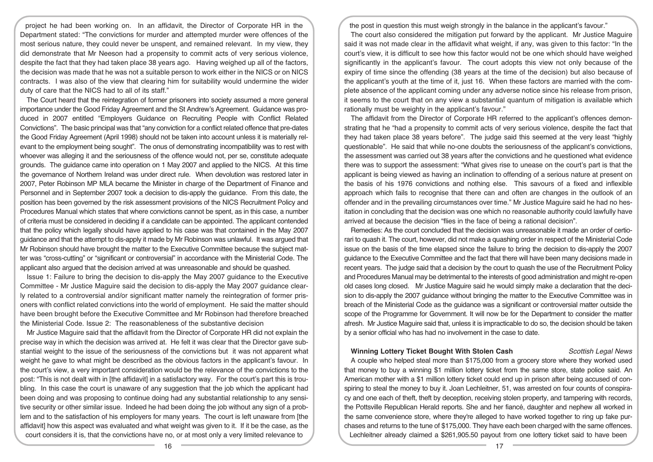project he had been working on. In an affidavit, the Director of Corporate HR in the Department stated: "The convictions for murder and attempted murder were offences of the most serious nature, they could never be unspent, and remained relevant. In my view, they did demonstrate that Mr Neeson had a propensity to commit acts of very serious violence, despite the fact that they had taken place 38 years ago. Having weighed up all of the factors, the decision was made that he was not a suitable person to work either in the NICS or on NICS contracts. I was also of the view that clearing him for suitability would undermine the wider duty of care that the NICS had to all of its staff."

The Court heard that the reintegration of former prisoners into society assumed a more general importance under the Good Friday Agreement and the St Andrew's Agreement. Guidance was produced in 2007 entitled "Employers Guidance on Recruiting People with Conflict Related Convictions". The basic principal was that "any conviction for a conflict related offence that pre-dates the Good Friday Agreement (April 1998) should not be taken into account unless it is materially relevant to the employment being sought". The onus of demonstrating incompatibility was to rest with whoever was alleging it and the seriousness of the offence would not, per se, constitute adequate grounds. The guidance came into operation on 1 May 2007 and applied to the NICS. At this time the governance of Northern Ireland was under direct rule. When devolution was restored later in 2007, Peter Robinson MP MLA became the Minister in charge of the Department of Finance and Personnel and in September 2007 took a decision to dis-apply the guidance. From this date, the position has been governed by the risk assessment provisions of the NICS Recruitment Policy and Procedures Manual which states that where convictions cannot be spent, as in this case, a number of criteria must be considered in deciding if a candidate can be appointed. The applicant contended that the policy which legally should have applied to his case was that contained in the May 2007 guidance and that the attempt to dis-apply it made by Mr Robinson was unlawful. It was argued that Mr Robinson should have brought the matter to the Executive Committee because the subject matter was "cross-cutting" or "significant or controversial" in accordance with the Ministerial Code. The applicant also argued that the decision arrived at was unreasonable and should be quashed.

Issue 1: Failure to bring the decision to dis-apply the May 2007 guidance to the Executive Committee - Mr Justice Maguire said the decision to dis-apply the May 2007 guidance clearly related to a controversial and/or significant matter namely the reintegration of former prisoners with conflict related convictions into the world of employment. He said the matter should have been brought before the Executive Committee and Mr Robinson had therefore breached the Ministerial Code. Issue 2: The reasonableness of the substantive decision

Mr Justice Maguire said that the affidavit from the Director of Corporate HR did not explain the precise way in which the decision was arrived at. He felt it was clear that the Director gave substantial weight to the issue of the seriousness of the convictions but it was not apparent what weight he gave to what might be described as the obvious factors in the applicant's favour. In the court's view, a very important consideration would be the relevance of the convictions to the post: "This is not dealt with in [the affidavit] in a satisfactory way. For the court's part this is troubling. In this case the court is unaware of any suggestion that the job which the applicant had been doing and was proposing to continue doing had any substantial relationship to any sensitive security or other similar issue. Indeed he had been doing the job without any sign of a problem and to the satisfaction of his employers for many years. The court is left unaware from [the affidavit] how this aspect was evaluated and what weight was given to it. If it be the case, as the court considers it is, that the convictions have no, or at most only a very limited relevance to

the post in question this must weigh strongly in the balance in the applicant's favour."

The court also considered the mitigation put forward by the applicant. Mr Justice Maguire said it was not made clear in the affidavit what weight, if any, was given to this factor: "In the court's view, it is difficult to see how this factor would not be one which should have weighed significantly in the applicant's favour. The court adopts this view not only because of the expiry of time since the offending (38 years at the time of the decision) but also because of the applicant's youth at the time of it, just 16. When these factors are married with the complete absence of the applicant coming under any adverse notice since his release from prison, it seems to the court that on any view a substantial quantum of mitigation is available which rationally must be weighty in the applicant's favour."

The affidavit from the Director of Corporate HR referred to the applicant's offences demonstrating that he "had a propensity to commit acts of very serious violence, despite the fact that they had taken place 38 years before". The judge said this seemed at the very least "highly questionable". He said that while no-one doubts the seriousness of the applicant's convictions, the assessment was carried out 38 years after the convictions and he questioned what evidence there was to support the assessment: "What gives rise to unease on the court's part is that the applicant is being viewed as having an inclination to offending of a serious nature at present on the basis of his 1976 convictions and nothing else. This savours of a fixed and inflexible approach which fails to recognise that there can and often are changes in the outlook of an offender and in the prevailing circumstances over time." Mr Justice Maguire said he had no hesitation in concluding that the decision was one which no reasonable authority could lawfully have arrived at because the decision "flies in the face of being a rational decision".

Remedies: As the court concluded that the decision was unreasonable it made an order of certiorari to quash it. The court, however, did not make a quashing order in respect of the Ministerial Code issue on the basis of the time elapsed since the failure to bring the decision to dis-apply the 2007 guidance to the Executive Committee and the fact that there will have been many decisions made in recent years. The judge said that a decision by the court to quash the use of the Recruitment Policy and Procedures Manual may be detrimental to the interests of good administration and might re-open old cases long closed. Mr Justice Maguire said he would simply make a declaration that the decision to dis-apply the 2007 guidance without bringing the matter to the Executive Committee was in breach of the Ministerial Code as the guidance was a significant or controversial matter outside the scope of the Programme for Government. It will now be for the Department to consider the matter afresh. Mr Justice Maguire said that, unless it is impracticable to do so, the decision should be taken by a senior official who has had no involvement in the case to date.

#### **Winning Lottery Ticket Bought With Stolen Cash** *Scottish Legal News*

A couple who helped steal more than \$175,000 from a grocery store where they worked used that money to buy a winning \$1 million lottery ticket from the same store, state police said. An American mother with a \$1 million lottery ticket could end up in prison after being accused of conspiring to steal the money to buy it. Joan Lechleitner, 51, was arrested on four counts of conspiracy and one each of theft, theft by deception, receiving stolen property, and tampering with records, the Pottsville Republican Herald reports. She and her fiancé, daughter and nephew all worked in the same convenience store, where they're alleged to have worked together to ring up fake purchases and returns to the tune of \$175,000. They have each been charged with the same offences. Lechleitner already claimed a \$261,905.50 payout from one lottery ticket said to have been